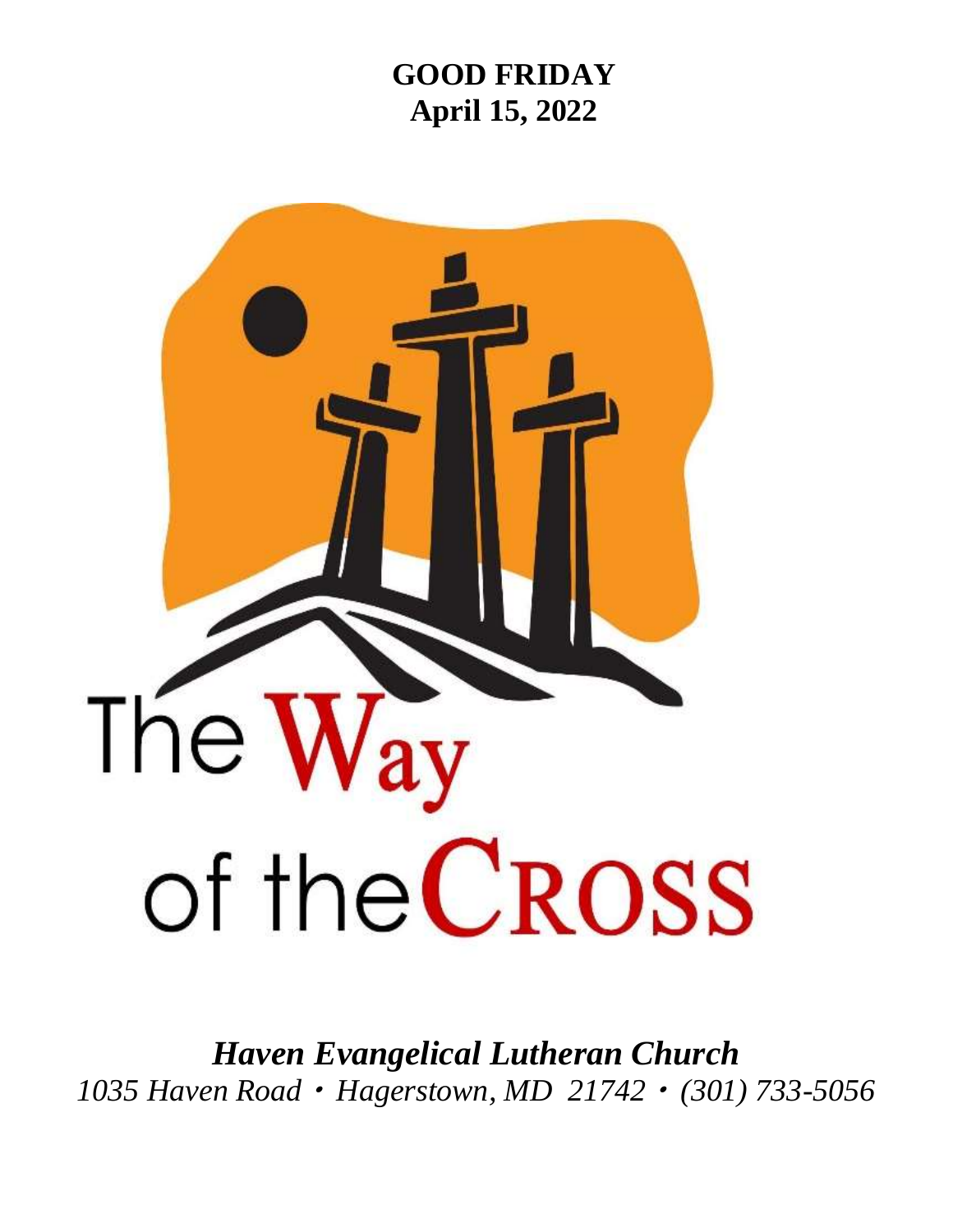# **GOOD FRIDAY April 15, 2022**



*Haven Evangelical Lutheran Church 1035 Haven Road Hagerstown, MD 21742 (301) 733-5056*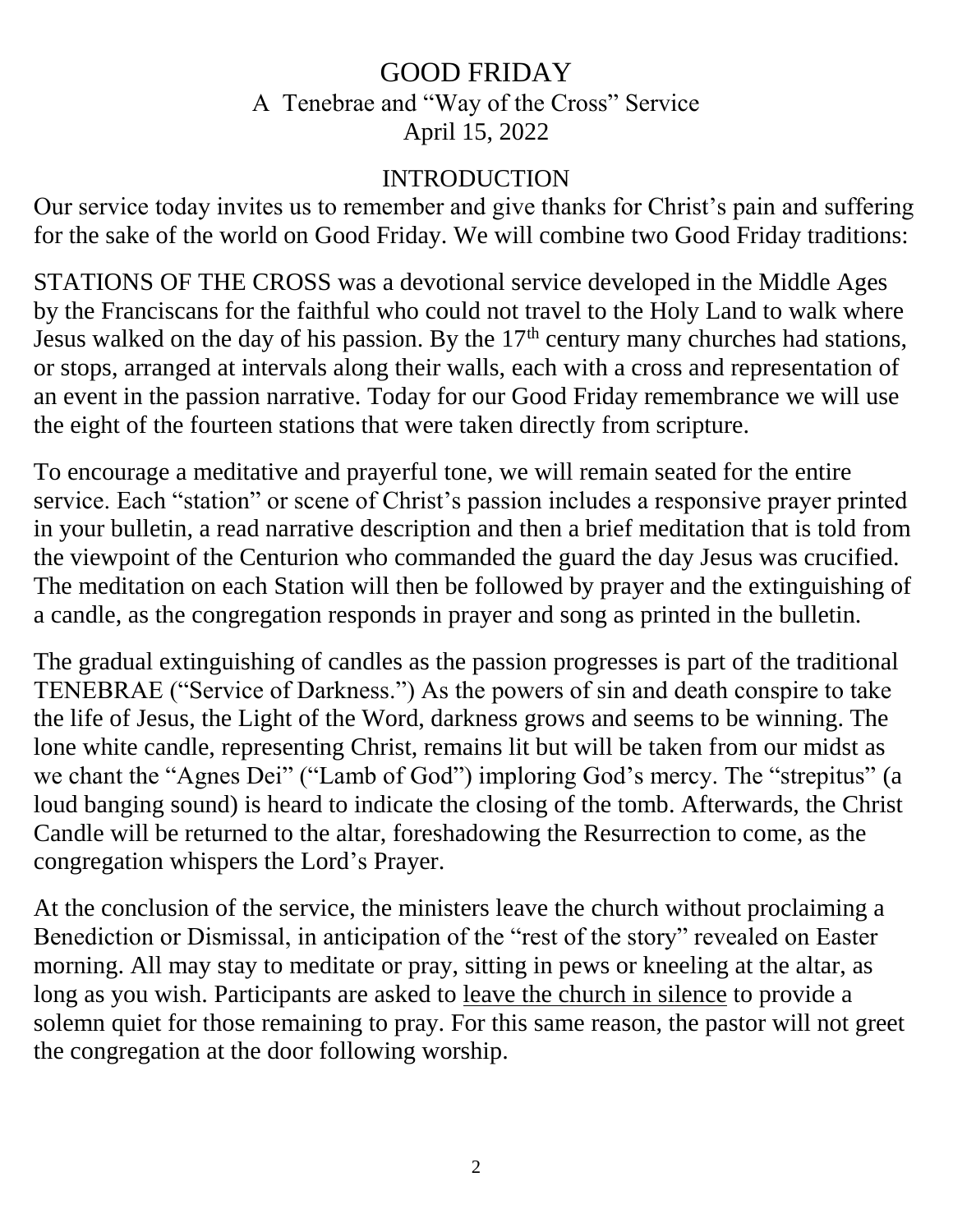# GOOD FRIDAY A Tenebrae and "Way of the Cross" Service April 15, 2022

### INTRODUCTION

Our service today invites us to remember and give thanks for Christ's pain and suffering for the sake of the world on Good Friday. We will combine two Good Friday traditions:

STATIONS OF THE CROSS was a devotional service developed in the Middle Ages by the Franciscans for the faithful who could not travel to the Holy Land to walk where Jesus walked on the day of his passion. By the  $17<sup>th</sup>$  century many churches had stations, or stops, arranged at intervals along their walls, each with a cross and representation of an event in the passion narrative. Today for our Good Friday remembrance we will use the eight of the fourteen stations that were taken directly from scripture.

To encourage a meditative and prayerful tone, we will remain seated for the entire service. Each "station" or scene of Christ's passion includes a responsive prayer printed in your bulletin, a read narrative description and then a brief meditation that is told from the viewpoint of the Centurion who commanded the guard the day Jesus was crucified. The meditation on each Station will then be followed by prayer and the extinguishing of a candle, as the congregation responds in prayer and song as printed in the bulletin.

The gradual extinguishing of candles as the passion progresses is part of the traditional TENEBRAE ("Service of Darkness.") As the powers of sin and death conspire to take the life of Jesus, the Light of the Word, darkness grows and seems to be winning. The lone white candle, representing Christ, remains lit but will be taken from our midst as we chant the "Agnes Dei" ("Lamb of God") imploring God's mercy. The "strepitus" (a loud banging sound) is heard to indicate the closing of the tomb. Afterwards, the Christ Candle will be returned to the altar, foreshadowing the Resurrection to come, as the congregation whispers the Lord's Prayer.

At the conclusion of the service, the ministers leave the church without proclaiming a Benediction or Dismissal, in anticipation of the "rest of the story" revealed on Easter morning. All may stay to meditate or pray, sitting in pews or kneeling at the altar, as long as you wish. Participants are asked to leave the church in silence to provide a solemn quiet for those remaining to pray. For this same reason, the pastor will not greet the congregation at the door following worship.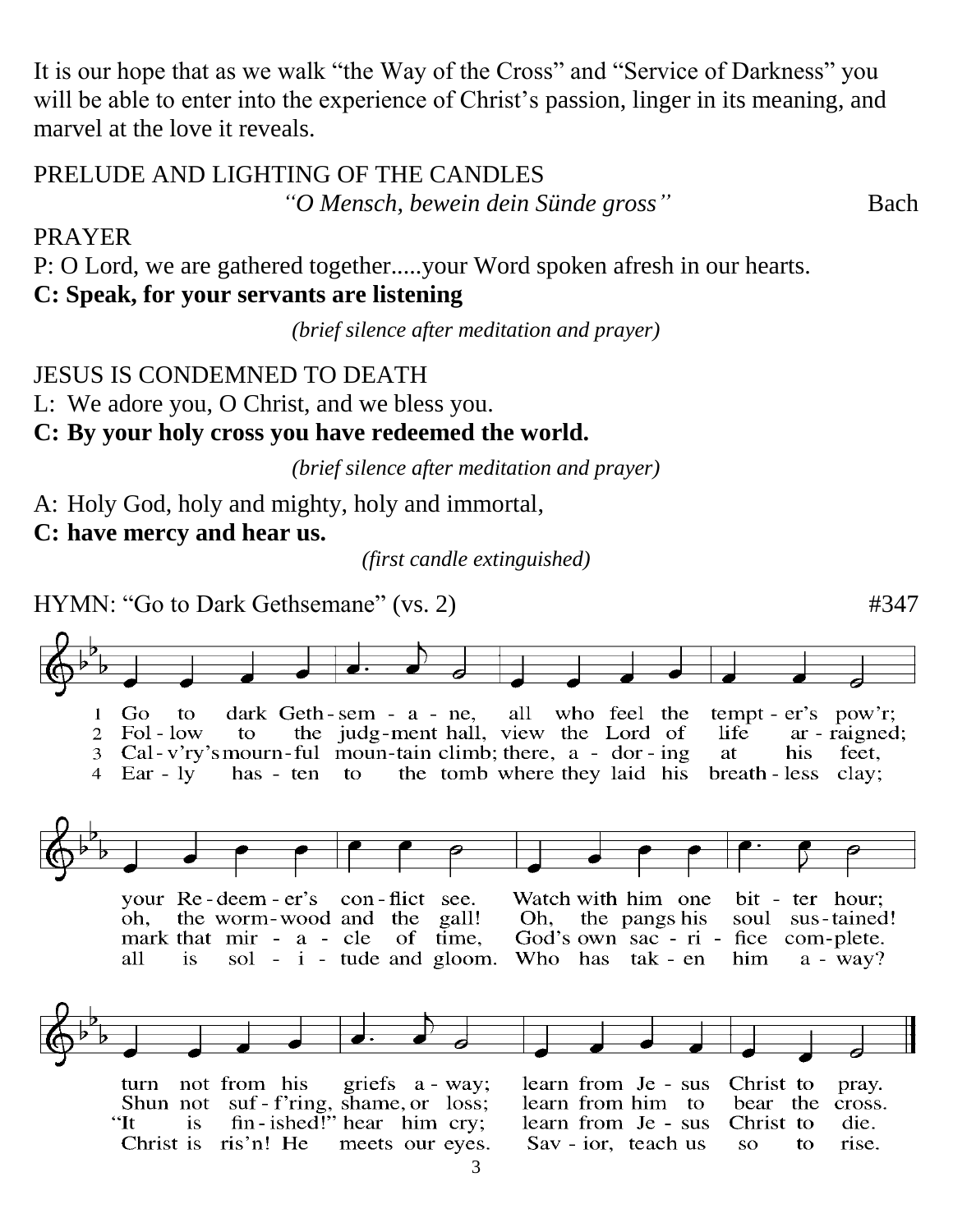It is our hope that as we walk "the Way of the Cross" and "Service of Darkness" you will be able to enter into the experience of Christ's passion, linger in its meaning, and marvel at the love it reveals.

#### PRELUDE AND LIGHTING OF THE CANDLES

*"O Mensch, bewein dein Sünde gross"* Bach

PRAYER

P: O Lord, we are gathered together.....your Word spoken afresh in our hearts.

**C: Speak, for your servants are listening**

*(brief silence after meditation and prayer)*

JESUS IS CONDEMNED TO DEATH

L: We adore you, O Christ, and we bless you.

### **C: By your holy cross you have redeemed the world.**

*(brief silence after meditation and prayer)*

A: Holy God, holy and mighty, holy and immortal,

**C: have mercy and hear us.**

*(first candle extinguished)*

HYMN: "Go to Dark Gethsemane" (vs. 2)  $#347$ 

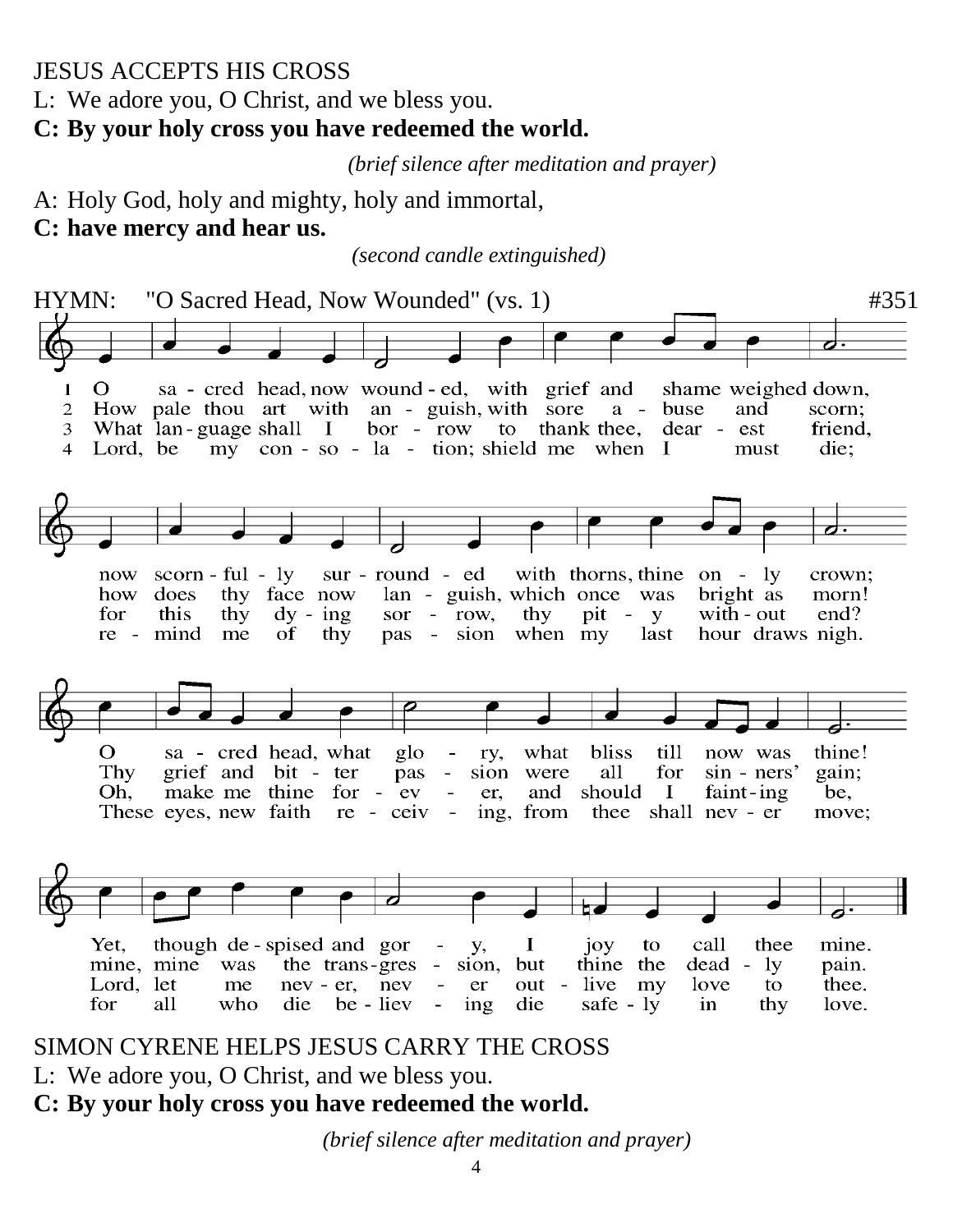### JESUS ACCEPTS HIS CROSS

L: We adore you, O Christ, and we bless you.

#### **C: By your holy cross you have redeemed the world.**

*(brief silence after meditation and prayer)*

A: Holy God, holy and mighty, holy and immortal,

#### **C: have mercy and hear us.**

*(second candle extinguished)*



### SIMON CYRENE HELPS JESUS CARRY THE CROSS

L: We adore you, O Christ, and we bless you.

### **C: By your holy cross you have redeemed the world.**

*(brief silence after meditation and prayer)*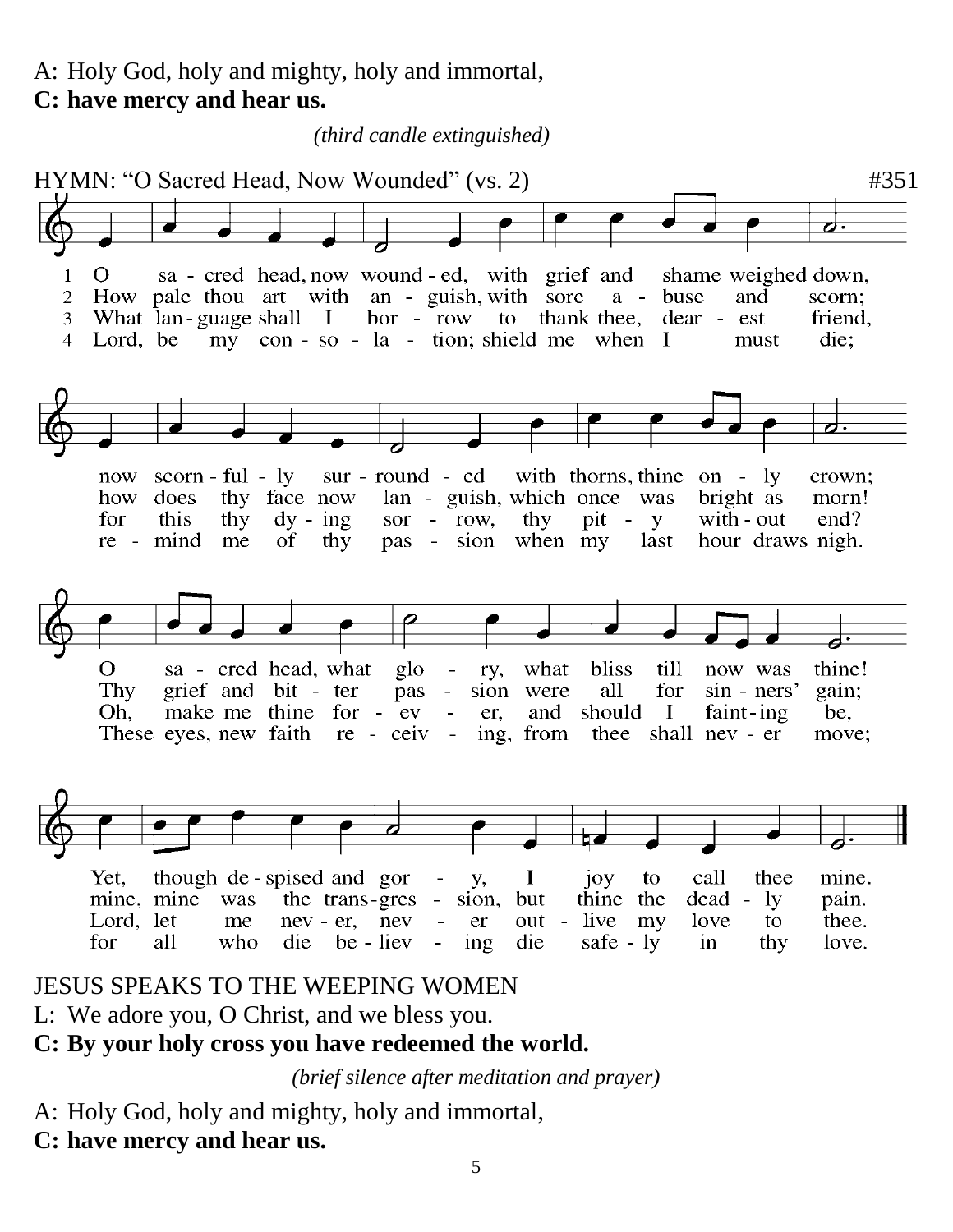A: Holy God, holy and mighty, holy and immortal, **C: have mercy and hear us.**

HYMN: "O Sacred Head, Now Wounded" (vs. 2)  $\#351$ sa - cred head, now wound - ed, with grief and  $\mathbf{1}$  $\Omega$ shame weighed down,  $\overline{2}$ How pale thou art with an - guish, with sore a - buse and scorn: quage shall I bor - row to thank thee, do my con - so - la - tion; shield me when I What lan-guage shall I friend. dear - est 3 Lord, be die:  $\overline{4}$ must scorn-ful-ly sur-round-ed with thorns, thine on - ly now crown; thy face now how does lan - guish, which once was bright as morn! sor - row, pit - y with - out for this thy  $dy - ing$ thy  $end$ ? pas - sion when my hour draws nigh. re - mind me of thy last  $\overline{O}$ sa - cred head, what thine! glo  $\equiv$ ry, what bliss till now was Thy grief and bit - ter pas  $\omega_{\rm c}$ sion were all for  $sin - ners'$ gain; make me thine for - ev and should Oh.  $\Box$ er,  $\bf I$ faint-ing be, re - ceiv These eyes, new faith  $\sim$   $$ ing, from thee shall nev - er move; call though de - spised and gor Yet, **y**,  $\mathbf{I}$  $10<sub>Y</sub>$ to thee mine. thine the mine, mine was the trans-gres sion. but  $dead - ly$ pain. Lord, let nev - er, nev - live love thee. me er out my to die be - liev for all who  $ing$ die safe -  $ly$ in thy love.  $\blacksquare$ 

*(third candle extinguished)*

# JESUS SPEAKS TO THE WEEPING WOMEN

L: We adore you, O Christ, and we bless you.

# **C: By your holy cross you have redeemed the world.**

*(brief silence after meditation and prayer)*

- A: Holy God, holy and mighty, holy and immortal,
- **C: have mercy and hear us.**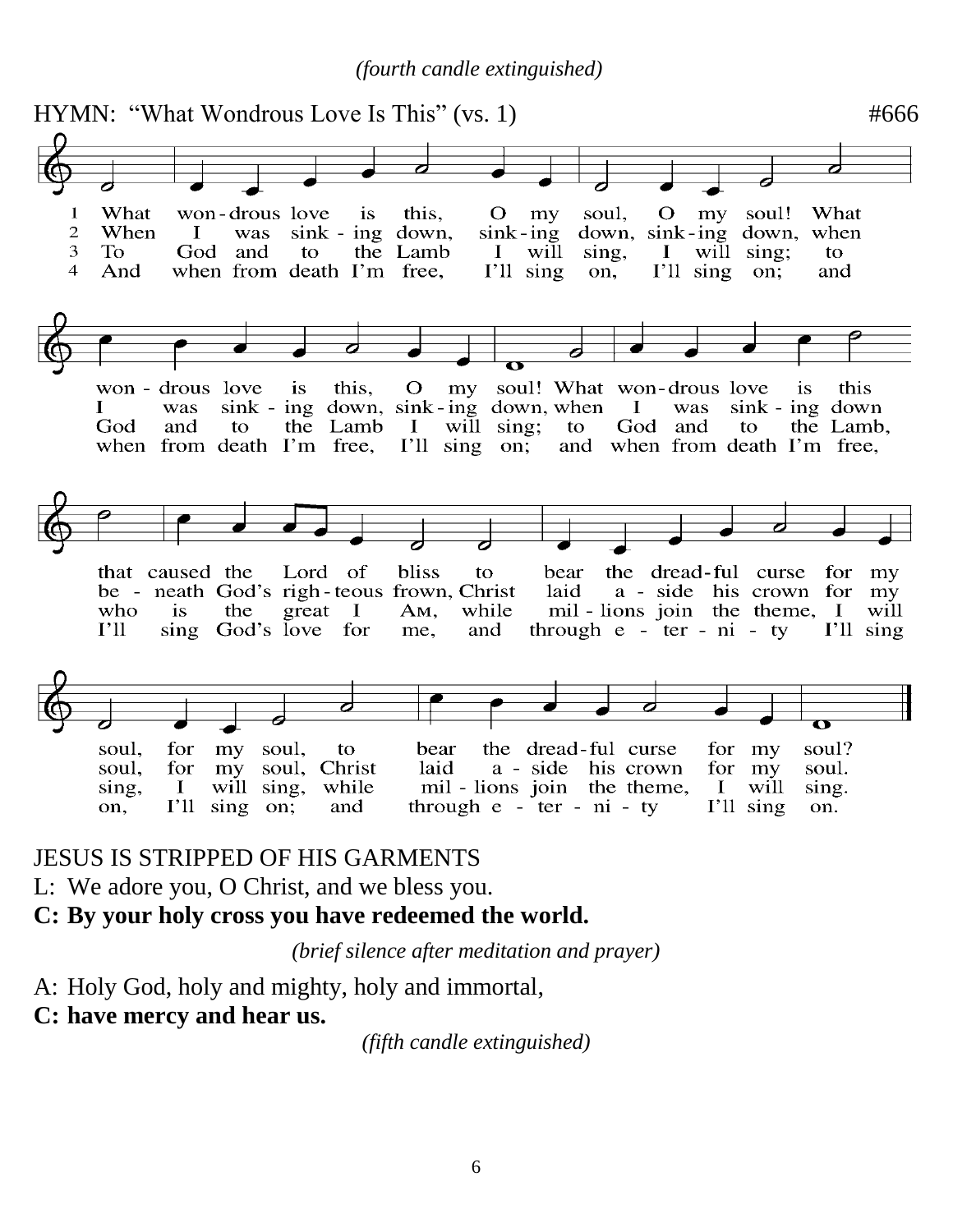*(fourth candle extinguished)*



JESUS IS STRIPPED OF HIS GARMENTS

L: We adore you, O Christ, and we bless you.

**C: By your holy cross you have redeemed the world.**

*(brief silence after meditation and prayer)*

A: Holy God, holy and mighty, holy and immortal,

#### **C: have mercy and hear us.**

*(fifth candle extinguished)*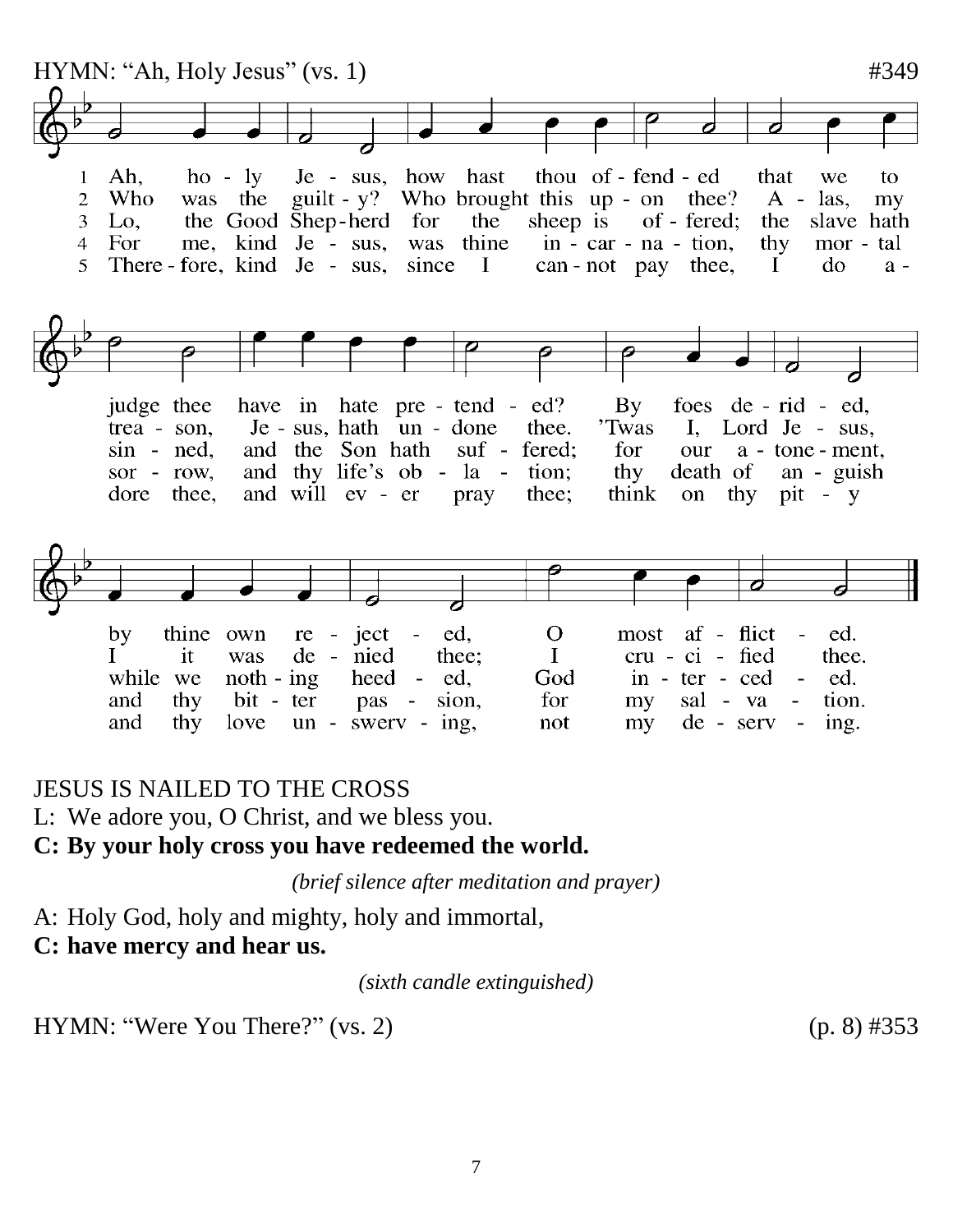

#### JESUS IS NAILED TO THE CROSS

L: We adore you, O Christ, and we bless you.

#### **C: By your holy cross you have redeemed the world.**

*(brief silence after meditation and prayer)*

A: Holy God, holy and mighty, holy and immortal,

**C: have mercy and hear us.**

*(sixth candle extinguished)*

HYMN: "Were You There?" (vs. 2)  $(p. 8)$  #353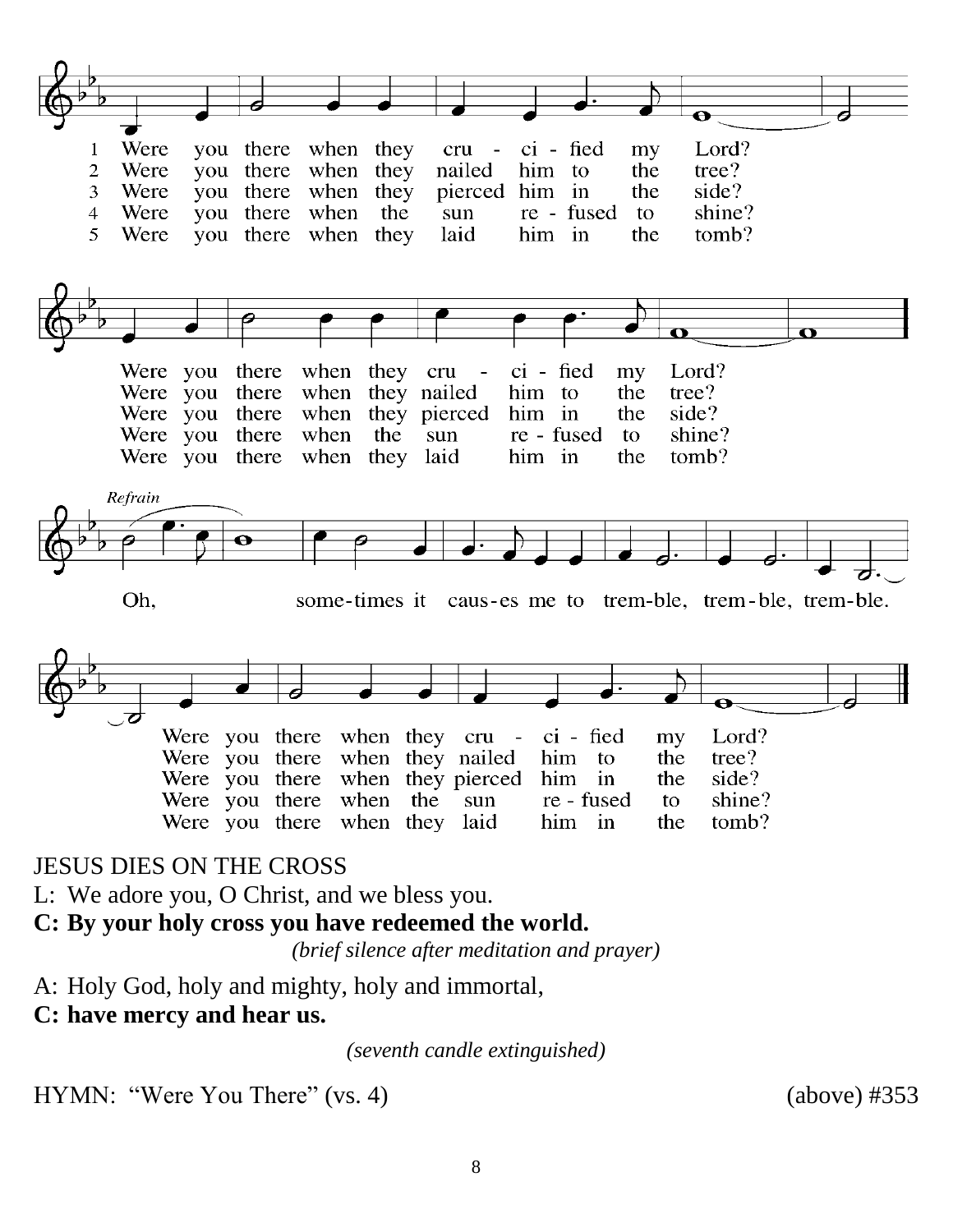

#### JESUS DIES ON THE CROSS

L: We adore you, O Christ, and we bless you.

#### **C: By your holy cross you have redeemed the world.**

*(brief silence after meditation and prayer)*

A: Holy God, holy and mighty, holy and immortal,

### **C: have mercy and hear us.**

*(seventh candle extinguished)*

HYMN: "Were You There" (vs. 4) (above) #353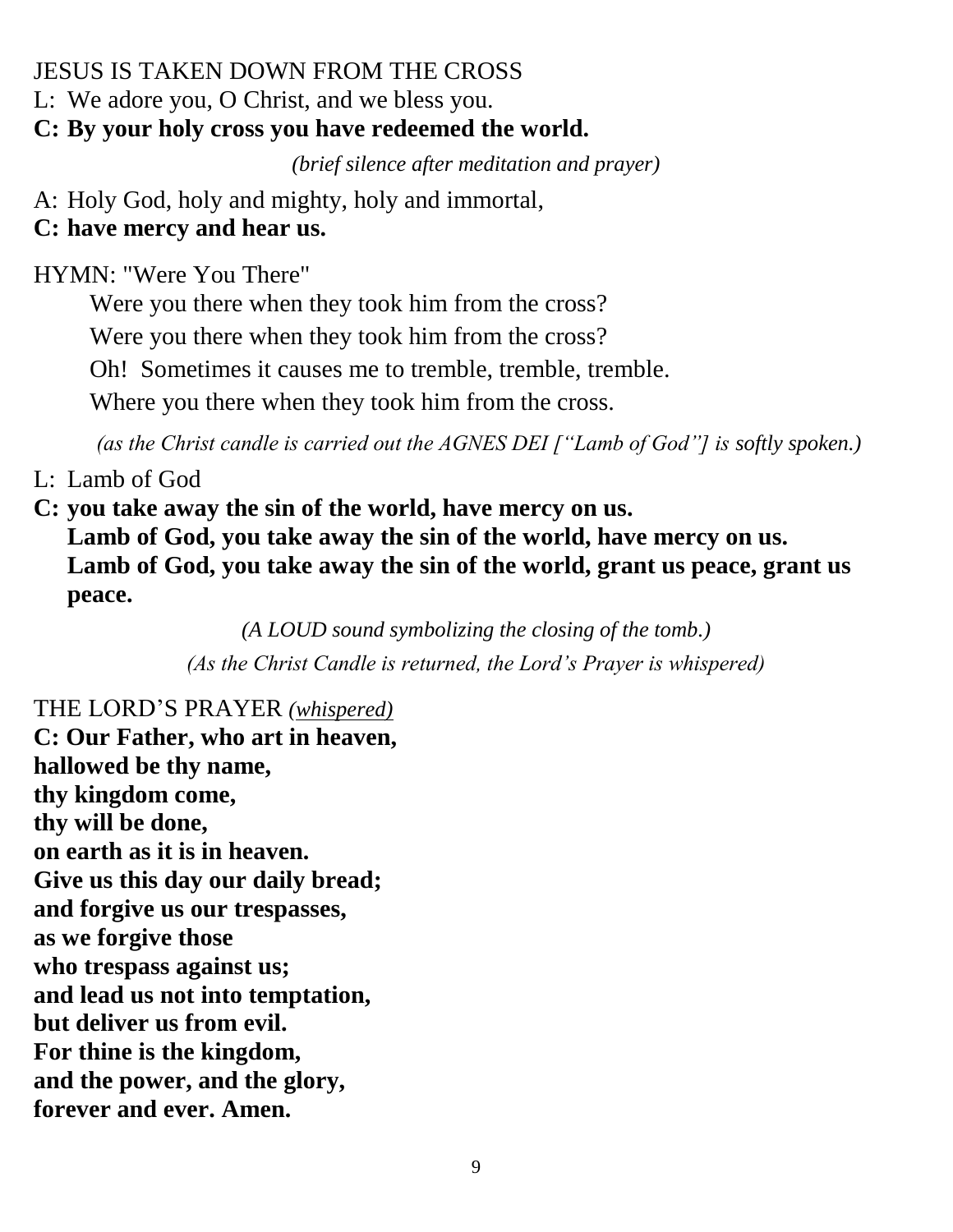### JESUS IS TAKEN DOWN FROM THE CROSS

L: We adore you, O Christ, and we bless you.

# **C: By your holy cross you have redeemed the world.**

*(brief silence after meditation and prayer)*

A: Holy God, holy and mighty, holy and immortal,

# **C: have mercy and hear us.**

HYMN: "Were You There"

Were you there when they took him from the cross? Were you there when they took him from the cross? Oh! Sometimes it causes me to tremble, tremble, tremble.

Where you there when they took him from the cross.

*(as the Christ candle is carried out the AGNES DEI ["Lamb of God"] is softly spoken.)*

L: Lamb of God

**C: you take away the sin of the world, have mercy on us. Lamb of God, you take away the sin of the world, have mercy on us. Lamb of God, you take away the sin of the world, grant us peace, grant us peace.**

> *(A LOUD sound symbolizing the closing of the tomb.) (As the Christ Candle is returned, the Lord's Prayer is whispered)*

THE LORD'S PRAYER *(whispered)*  **C: Our Father, who art in heaven, hallowed be thy name, thy kingdom come, thy will be done, on earth as it is in heaven. Give us this day our daily bread; and forgive us our trespasses, as we forgive those who trespass against us; and lead us not into temptation, but deliver us from evil. For thine is the kingdom, and the power, and the glory, forever and ever. Amen.**